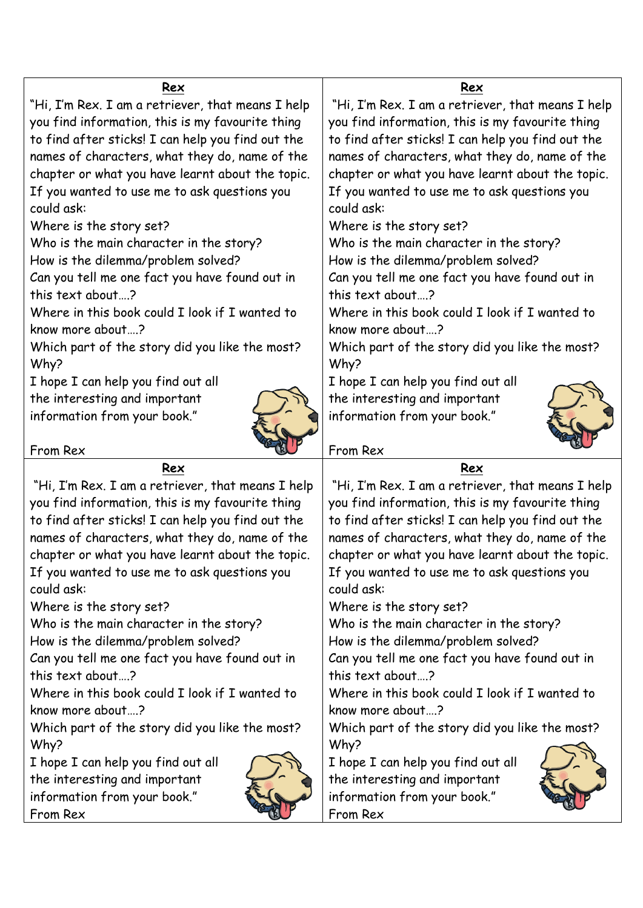| Rex                                               | Rex                                               |
|---------------------------------------------------|---------------------------------------------------|
| "Hi, I'm Rex. I am a retriever, that means I help | "Hi, I'm Rex. I am a retriever, that means I help |
| you find information, this is my favourite thing  | you find information, this is my favourite thing  |
| to find after sticks! I can help you find out the | to find after sticks! I can help you find out the |
| names of characters, what they do, name of the    | names of characters, what they do, name of the    |
| chapter or what you have learnt about the topic.  | chapter or what you have learnt about the topic.  |
| If you wanted to use me to ask questions you      | If you wanted to use me to ask questions you      |
| could ask:                                        | could ask:                                        |
| Where is the story set?                           | Where is the story set?                           |
| Who is the main character in the story?           | Who is the main character in the story?           |
| How is the dilemma/problem solved?                | How is the dilemma/problem solved?                |
| Can you tell me one fact you have found out in    | Can you tell me one fact you have found out in    |
| this text about?                                  | this text about?                                  |
| Where in this book could I look if I wanted to    | Where in this book could I look if I wanted to    |
| know more about?                                  | know more about?                                  |
| Which part of the story did you like the most?    | Which part of the story did you like the most?    |
| Why?                                              | Why?                                              |
| I hope I can help you find out all                | I hope I can help you find out all                |
| the interesting and important                     | the interesting and important                     |
| information from your book."                      | information from your book."                      |
|                                                   |                                                   |
| From Rex                                          | From Rex                                          |
| Rex                                               | Rex                                               |
| "Hi, I'm Rex. I am a retriever, that means I help | "Hi, I'm Rex. I am a retriever, that means I help |
| you find information, this is my favourite thing  | you find information, this is my favourite thing  |
| to find after sticks! I can help you find out the | to find after sticks! I can help you find out the |
| names of characters, what they do, name of the    | names of characters, what they do, name of the    |
| chapter or what you have learnt about the topic.  | chapter or what you have learnt about the topic.  |
| If you wanted to use me to ask questions you      | If you wanted to use me to ask questions you      |
| could ask:                                        | could ask:                                        |
| Where is the story set?                           | Where is the story set?                           |
| Who is the main character in the story?           | Who is the main character in the story?           |
| How is the dilemma/problem solved?                | How is the dilemma/problem solved?                |
| Can you tell me one fact you have found out in    | Can you tell me one fact you have found out in    |
| this text about?                                  | this text about?                                  |
| Where in this book could I look if I wanted to    | Where in this book could I look if I wanted to    |
| know more about?                                  | know more about?                                  |
| Which part of the story did you like the most?    | Which part of the story did you like the most?    |
| Why?                                              | Why?                                              |
| I hope I can help you find out all                | I hope I can help you find out all                |
| the interesting and important                     | the interesting and important                     |
| information from your book."                      |                                                   |
| From Rex                                          | information from your book."<br>From Rex          |